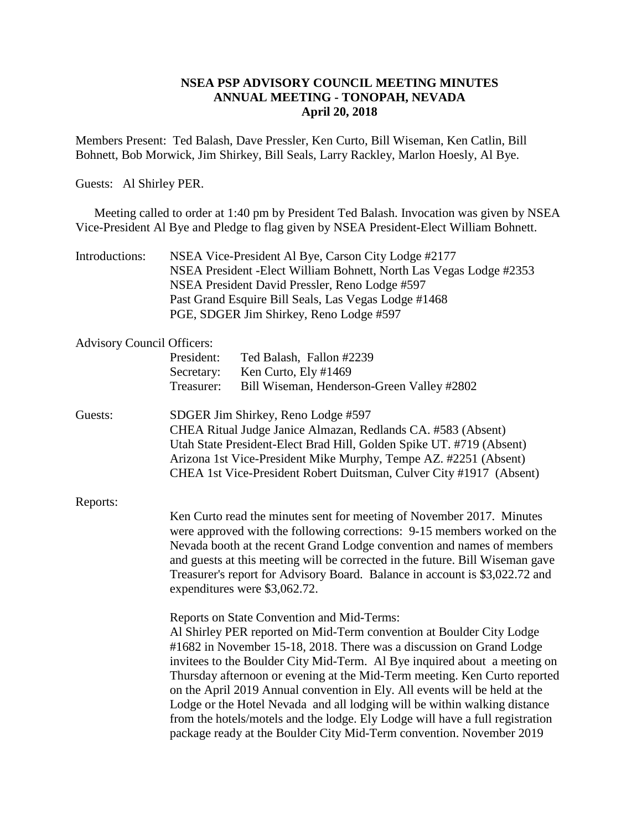## **NSEA PSP ADVISORY COUNCIL MEETING MINUTES ANNUAL MEETING - TONOPAH, NEVADA April 20, 2018**

Members Present: Ted Balash, Dave Pressler, Ken Curto, Bill Wiseman, Ken Catlin, Bill Bohnett, Bob Morwick, Jim Shirkey, Bill Seals, Larry Rackley, Marlon Hoesly, Al Bye.

### Guests: Al Shirley PER.

Meeting called to order at 1:40 pm by President Ted Balash. Invocation was given by NSEA Vice-President Al Bye and Pledge to flag given by NSEA President-Elect William Bohnett.

| Introductions: | NSEA Vice-President Al Bye, Carson City Lodge #2177                 |
|----------------|---------------------------------------------------------------------|
|                | NSEA President - Elect William Bohnett, North Las Vegas Lodge #2353 |
|                | NSEA President David Pressler, Reno Lodge #597                      |
|                | Past Grand Esquire Bill Seals, Las Vegas Lodge #1468                |
|                | PGE, SDGER Jim Shirkey, Reno Lodge #597                             |

| <b>Advisory Council Officers:</b> |  |  |
|-----------------------------------|--|--|
|-----------------------------------|--|--|

| President: | Ted Balash, Fallon #2239                              |
|------------|-------------------------------------------------------|
|            | Secretary: Ken Curto, Ely #1469                       |
|            | Treasurer: Bill Wiseman, Henderson-Green Valley #2802 |

Guests: SDGER Jim Shirkey, Reno Lodge #597 CHEA Ritual Judge Janice Almazan, Redlands CA. #583 (Absent) Utah State President-Elect Brad Hill, Golden Spike UT. #719 (Absent) Arizona 1st Vice-President Mike Murphy, Tempe AZ. #2251 (Absent) CHEA 1st Vice-President Robert Duitsman, Culver City #1917 (Absent)

Reports:

Ken Curto read the minutes sent for meeting of November 2017. Minutes were approved with the following corrections: 9-15 members worked on the Nevada booth at the recent Grand Lodge convention and names of members and guests at this meeting will be corrected in the future. Bill Wiseman gave Treasurer's report for Advisory Board. Balance in account is \$3,022.72 and expenditures were \$3,062.72.

Reports on State Convention and Mid-Terms:

Al Shirley PER reported on Mid-Term convention at Boulder City Lodge #1682 in November 15-18, 2018. There was a discussion on Grand Lodge invitees to the Boulder City Mid-Term. Al Bye inquired about a meeting on Thursday afternoon or evening at the Mid-Term meeting. Ken Curto reported on the April 2019 Annual convention in Ely. All events will be held at the Lodge or the Hotel Nevada and all lodging will be within walking distance from the hotels/motels and the lodge. Ely Lodge will have a full registration package ready at the Boulder City Mid-Term convention. November 2019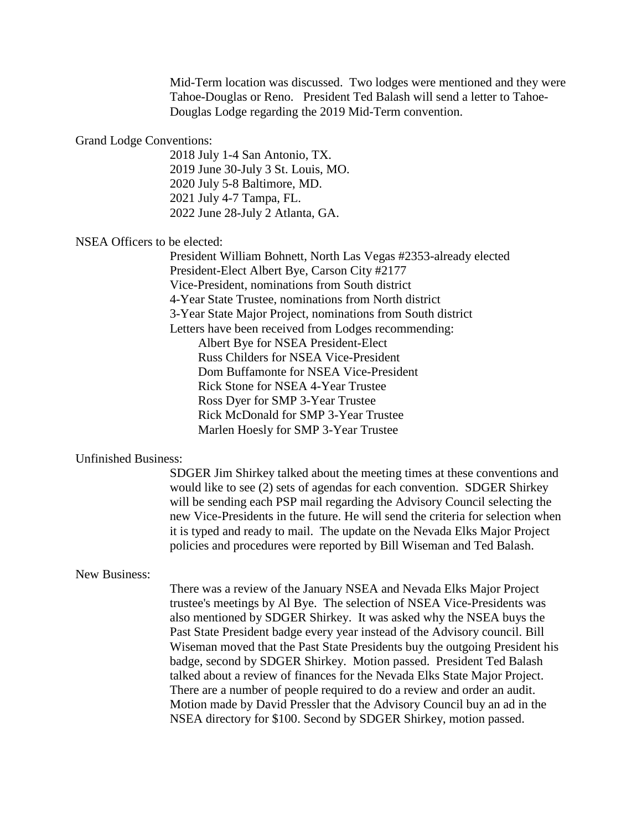Mid-Term location was discussed. Two lodges were mentioned and they were Tahoe-Douglas or Reno. President Ted Balash will send a letter to Tahoe-Douglas Lodge regarding the 2019 Mid-Term convention.

#### Grand Lodge Conventions:

2018 July 1-4 San Antonio, TX. 2019 June 30-July 3 St. Louis, MO. 2020 July 5-8 Baltimore, MD. 2021 July 4-7 Tampa, FL. 2022 June 28-July 2 Atlanta, GA.

## NSEA Officers to be elected:

President William Bohnett, North Las Vegas #2353-already elected President-Elect Albert Bye, Carson City #2177 Vice-President, nominations from South district 4-Year State Trustee, nominations from North district 3-Year State Major Project, nominations from South district Letters have been received from Lodges recommending: Albert Bye for NSEA President-Elect Russ Childers for NSEA Vice-President Dom Buffamonte for NSEA Vice-President Rick Stone for NSEA 4-Year Trustee Ross Dyer for SMP 3-Year Trustee Rick McDonald for SMP 3-Year Trustee Marlen Hoesly for SMP 3-Year Trustee

## Unfinished Business:

SDGER Jim Shirkey talked about the meeting times at these conventions and would like to see (2) sets of agendas for each convention. SDGER Shirkey will be sending each PSP mail regarding the Advisory Council selecting the new Vice-Presidents in the future. He will send the criteria for selection when it is typed and ready to mail. The update on the Nevada Elks Major Project policies and procedures were reported by Bill Wiseman and Ted Balash.

#### New Business:

There was a review of the January NSEA and Nevada Elks Major Project trustee's meetings by Al Bye. The selection of NSEA Vice-Presidents was also mentioned by SDGER Shirkey. It was asked why the NSEA buys the Past State President badge every year instead of the Advisory council. Bill Wiseman moved that the Past State Presidents buy the outgoing President his badge, second by SDGER Shirkey. Motion passed. President Ted Balash talked about a review of finances for the Nevada Elks State Major Project. There are a number of people required to do a review and order an audit. Motion made by David Pressler that the Advisory Council buy an ad in the NSEA directory for \$100. Second by SDGER Shirkey, motion passed.